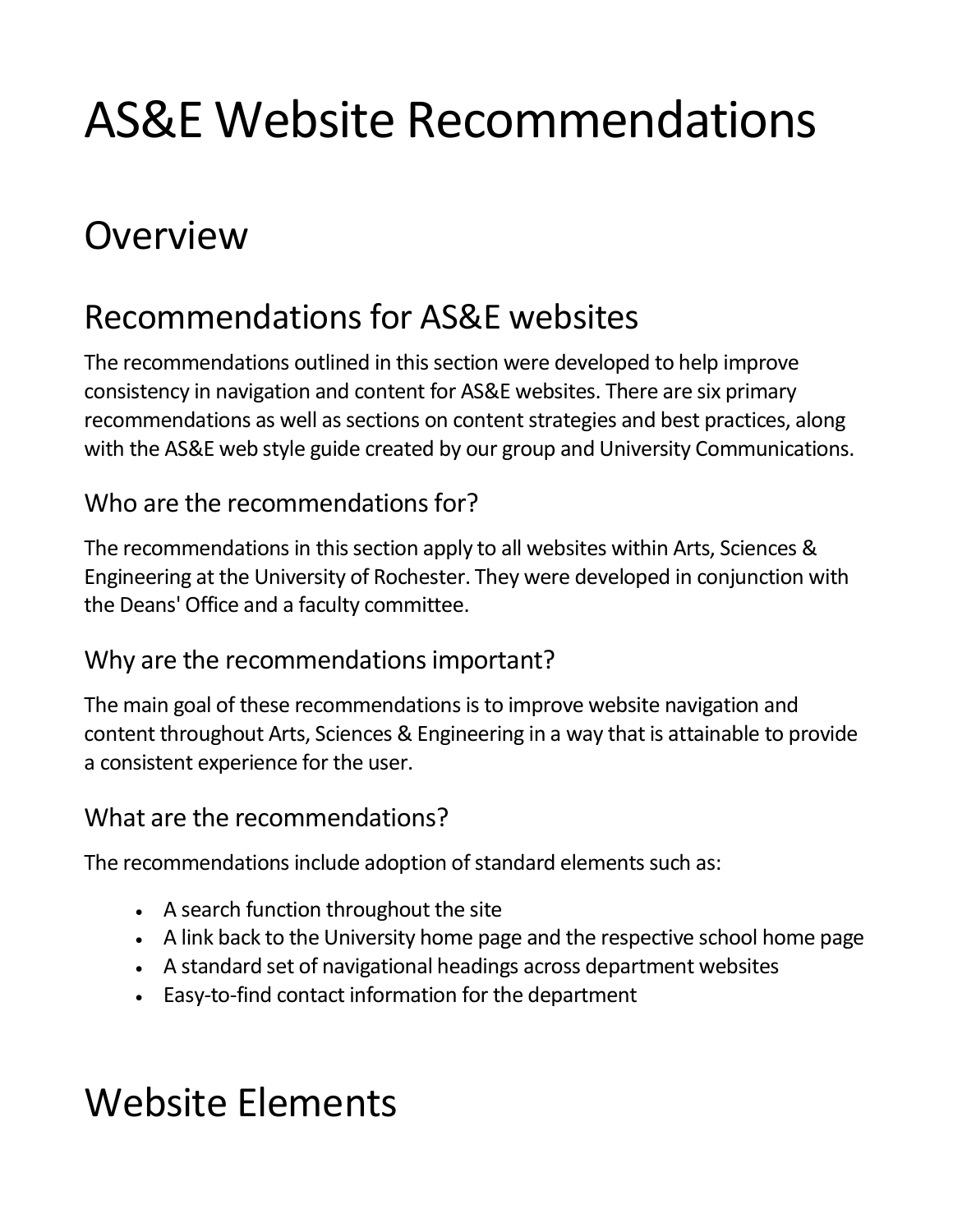# AS&E Website Recommendations

# **Overview**

### Recommendations for AS&E websites

The recommendations outlined in this section were developed to help improve consistency in navigation and content for AS&E websites. There are six primary recommendations as well as sections on content strategies and best practices, along with the AS&E web style guide created by our group and University Communications.

#### Who are the recommendations for?

The recommendations in this section apply to all websites within Arts, Sciences & Engineering at the University of Rochester. They were developed in conjunction with the Deans' Office and a faculty committee.

#### Why are the recommendations important?

The main goal of these recommendations is to improve website navigation and content throughout Arts, Sciences & Engineering in a way that is attainable to provide a consistent experience for the user.

#### What are the recommendations?

The recommendations include adoption of standard elements such as:

- A search function throughout the site
- A link back to the University home page and the respective school home page
- A standard set of navigational headings across department websites
- Easy‐to‐find contact information for the department

# Website Elements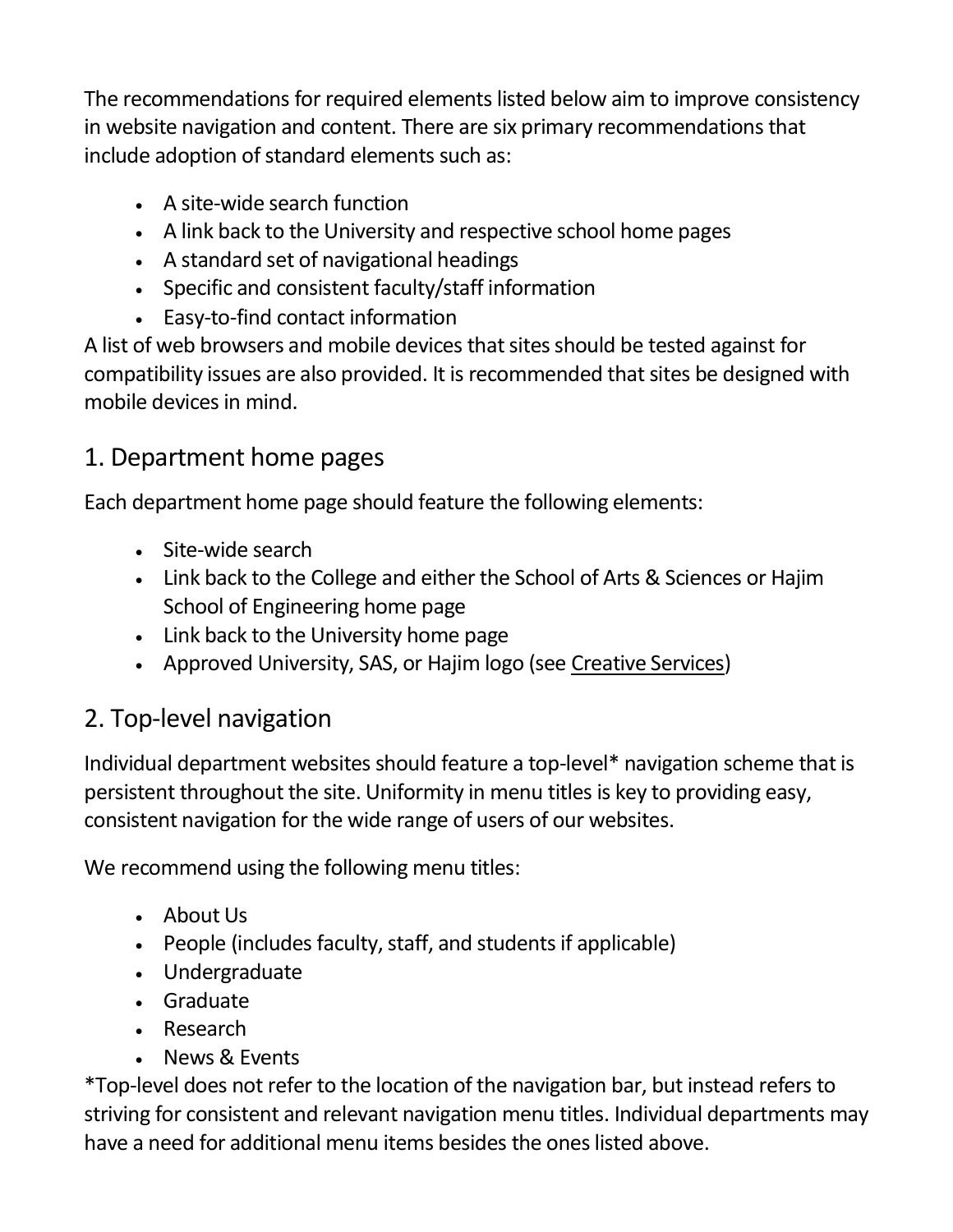The recommendations for required elements listed below aim to improve consistency in website navigation and content. There are six primary recommendations that include adoption of standard elements such as:

- A site-wide search function
- A link back to the University and respective school home pages
- A standard set of navigational headings
- Specific and consistent faculty/staff information
- Easy‐to‐find contact information

A list of web browsers and mobile devices that sites should be tested against for compatibility issues are also provided. It is recommended that sites be designed with mobile devices in mind.

#### 1. Department home pages

Each department home page should feature the following elements:

- Site-wide search
- Link back to the College and either the School of Arts & Sciences or Hajim School of Engineering home page
- Link back to the University home page
- Approved University, SAS, or Hajim logo (see [Creative Services\)](http://www.rochester.edu/creativeservices/graphicstandards/logo.html)

### 2. Top‐level navigation

Individual department websites should feature a top‐level\* navigation scheme that is persistent throughout the site. Uniformity in menu titles is key to providing easy, consistent navigation for the wide range of users of our websites.

We recommend using the following menu titles:

- About Us
- People (includes faculty, staff, and students if applicable)
- Undergraduate
- Graduate
- Research
- News & Events

\*Top‐level does not refer to the location of the navigation bar, but instead refers to striving for consistent and relevant navigation menu titles. Individual departments may have a need for additional menu items besides the ones listed above.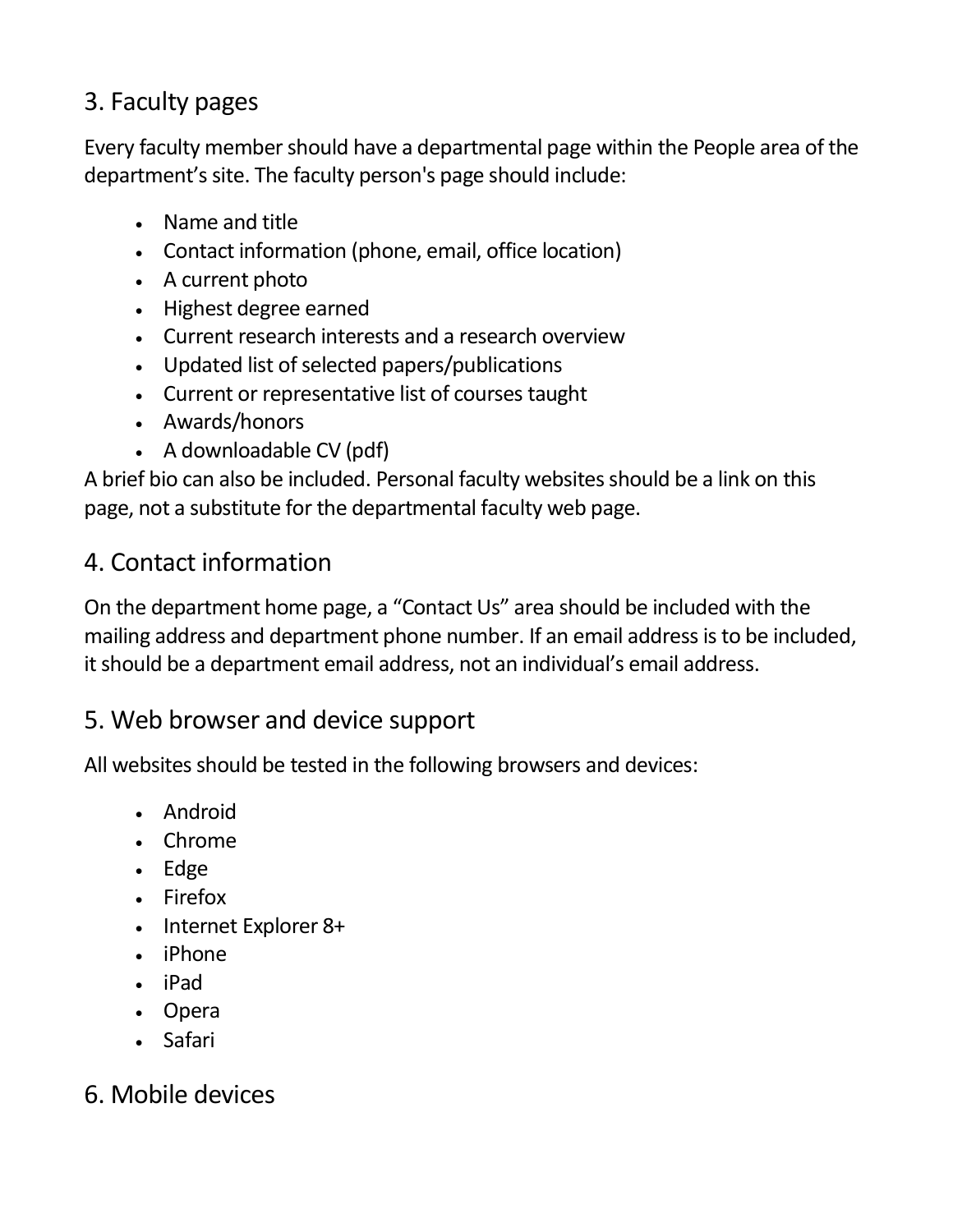#### 3. Faculty pages

Every faculty member should have a departmental page within the People area of the department's site. The faculty person's page should include:

- Name and title
- Contact information (phone, email, office location)
- A current photo
- Highest degree earned
- Current research interests and a research overview
- Updated list of selected papers/publications
- Current or representative list of courses taught
- Awards/honors
- A downloadable CV (pdf)

A brief bio can also be included. Personal faculty websites should be a link on this page, not a substitute for the departmental faculty web page.

#### 4. Contact information

On the department home page, a "Contact Us" area should be included with the mailing address and department phone number. If an email address is to be included, it should be a department email address, not an individual's email address.

#### 5. Web browser and device support

All websites should be tested in the following browsers and devices:

- Android
- Chrome
- Edge
- Firefox
- Internet Explorer 8+
- iPhone
- iPad
- Opera
- Safari

#### 6. Mobile devices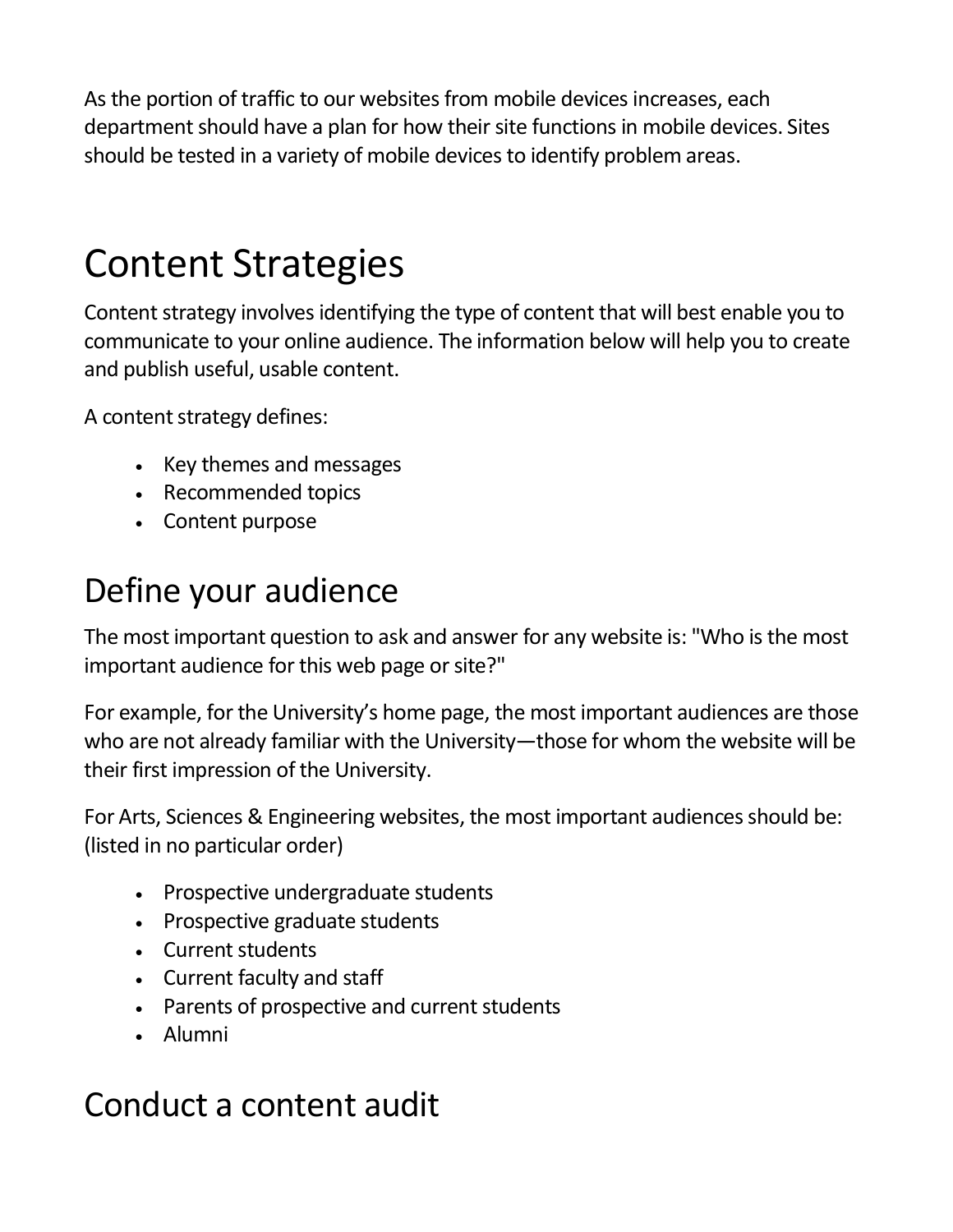As the portion of traffic to our websites from mobile devices increases, each department should have a plan for how their site functions in mobile devices. Sites should be tested in a variety of mobile devices to identify problem areas.

# Content Strategies

Content strategy involves identifying the type of content that will best enable you to communicate to your online audience. The information below will help you to create and publish useful, usable content.

A content strategy defines:

- Key themes and messages
- Recommended topics
- Content purpose

### Define your audience

The most important question to ask and answer for any website is: "Who is the most important audience for this web page or site?"

For example, for the University's home page, the most important audiences are those who are not already familiar with the University—those for whom the website will be their first impression of the University.

For Arts, Sciences & Engineering websites, the most important audiences should be: (listed in no particular order)

- Prospective undergraduate students
- Prospective graduate students
- Current students
- Current faculty and staff
- Parents of prospective and current students
- Alumni

### Conduct a content audit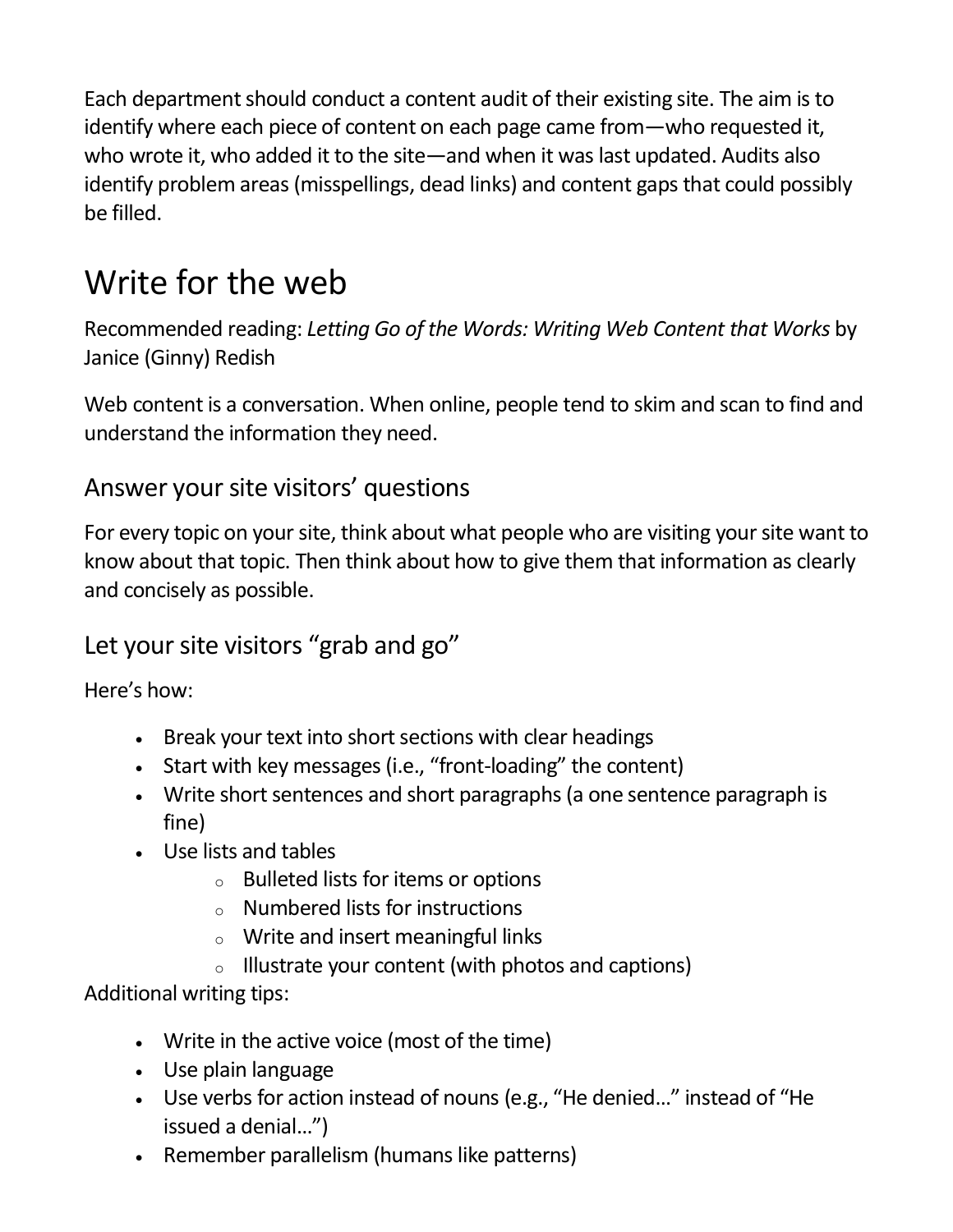Each department should conduct a content audit of their existing site. The aim is to identify where each piece of content on each page came from—who requested it, who wrote it, who added it to the site—and when it was last updated. Audits also identify problem areas (misspellings, dead links) and content gaps that could possibly be filled.

## Write for the web

Recommended reading: *Letting Go of the Words: Writing Web Content that Works* by Janice (Ginny) Redish

Web content is a conversation. When online, people tend to skim and scan to find and understand the information they need.

#### Answer your site visitors' questions

For every topic on your site, think about what people who are visiting your site want to know about that topic. Then think about how to give them that information as clearly and concisely as possible.

#### Let your site visitors "grab and go"

Here's how:

- Break your text into short sections with clear headings
- Start with key messages (i.e., "front-loading" the content)
- Write short sentences and short paragraphs (a one sentence paragraph is fine)
- Use lists and tables
	- <sup>o</sup> Bulleted lists for items or options
	- <sup>o</sup> Numbered lists for instructions
	- <sup>o</sup> Write and insert meaningful links
	- $\circ$  Illustrate your content (with photos and captions)

Additional writing tips:

- Write in the active voice (most of the time)
- Use plain language
- Use verbs for action instead of nouns (e.g., "He denied…" instead of "He issued a denial…")
- Remember parallelism (humans like patterns)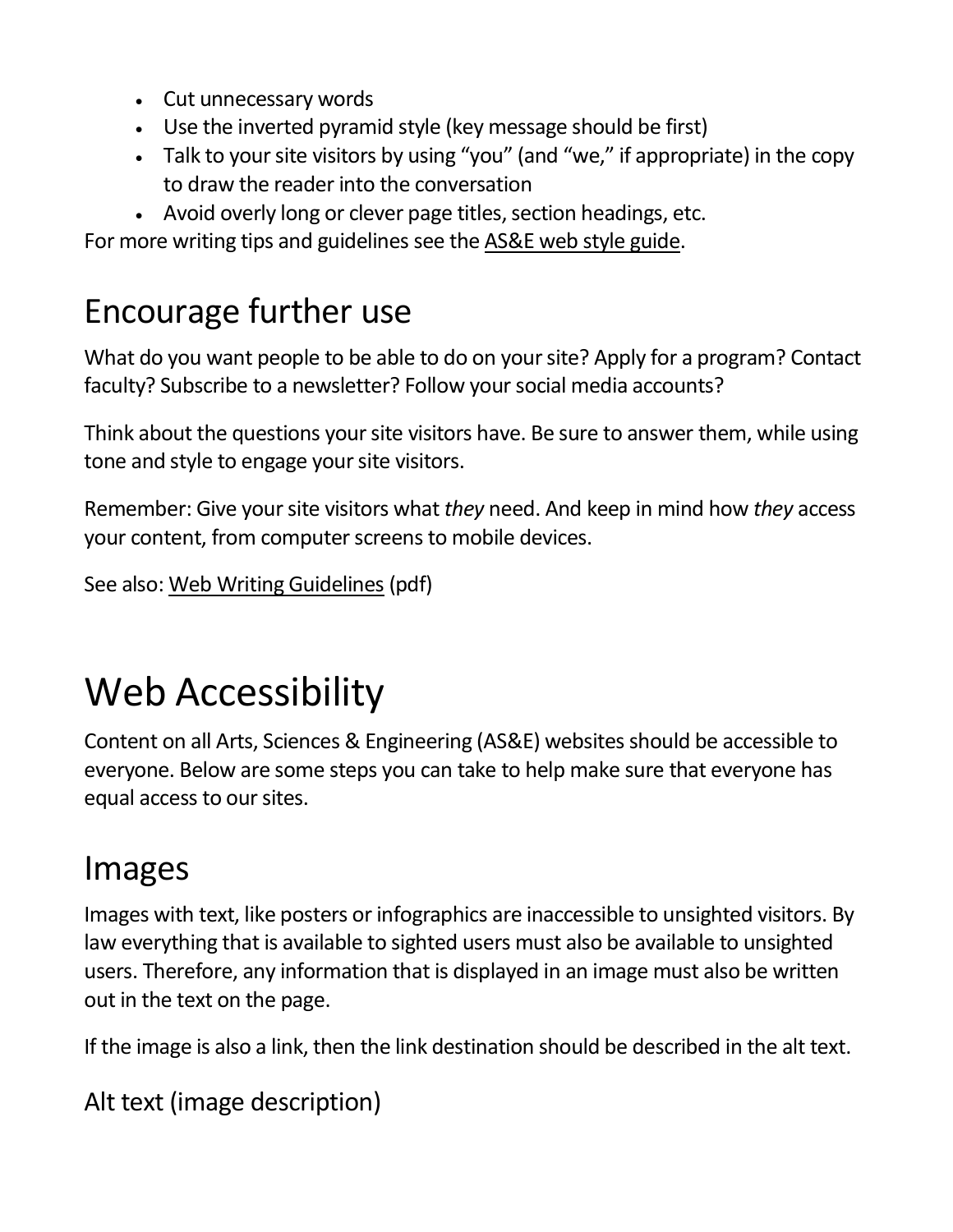- Cut unnecessary words
- Use the inverted pyramid style (key message should be first)
- Talk to your site visitors by using "you" (and "we," if appropriate) in the copy to draw the reader into the conversation
- Avoid overly long or clever page titles, section headings, etc.

For more writing tips and guidelines see the [AS&E web style guide.](https://www.rochester.edu/college/webcomm/styleguide/index.html)

## Encourage further use

What do you want people to be able to do on your site? Apply for a program? Contact faculty? Subscribe to a newsletter? Follow your social media accounts?

Think about the questions your site visitors have. Be sure to answer them, while using tone and style to engage your site visitors.

Remember: Give your site visitors what *they* need. And keep in mind how *they* access your content, from computer screens to mobile devices.

```
See also: Web Writing Guidelines (pdf)
```
# Web Accessibility

Content on all Arts, Sciences & Engineering (AS&E) websites should be accessible to everyone. Below are some steps you can take to help make sure that everyone has equal access to our sites.

## Images

Images with text, like posters or infographics are inaccessible to unsighted visitors. By law everything that is available to sighted users must also be available to unsighted users. Therefore, any information that is displayed in an image must also be written out in the text on the page.

If the image is also a link, then the link destination should be described in the alt text.

Alt text (image description)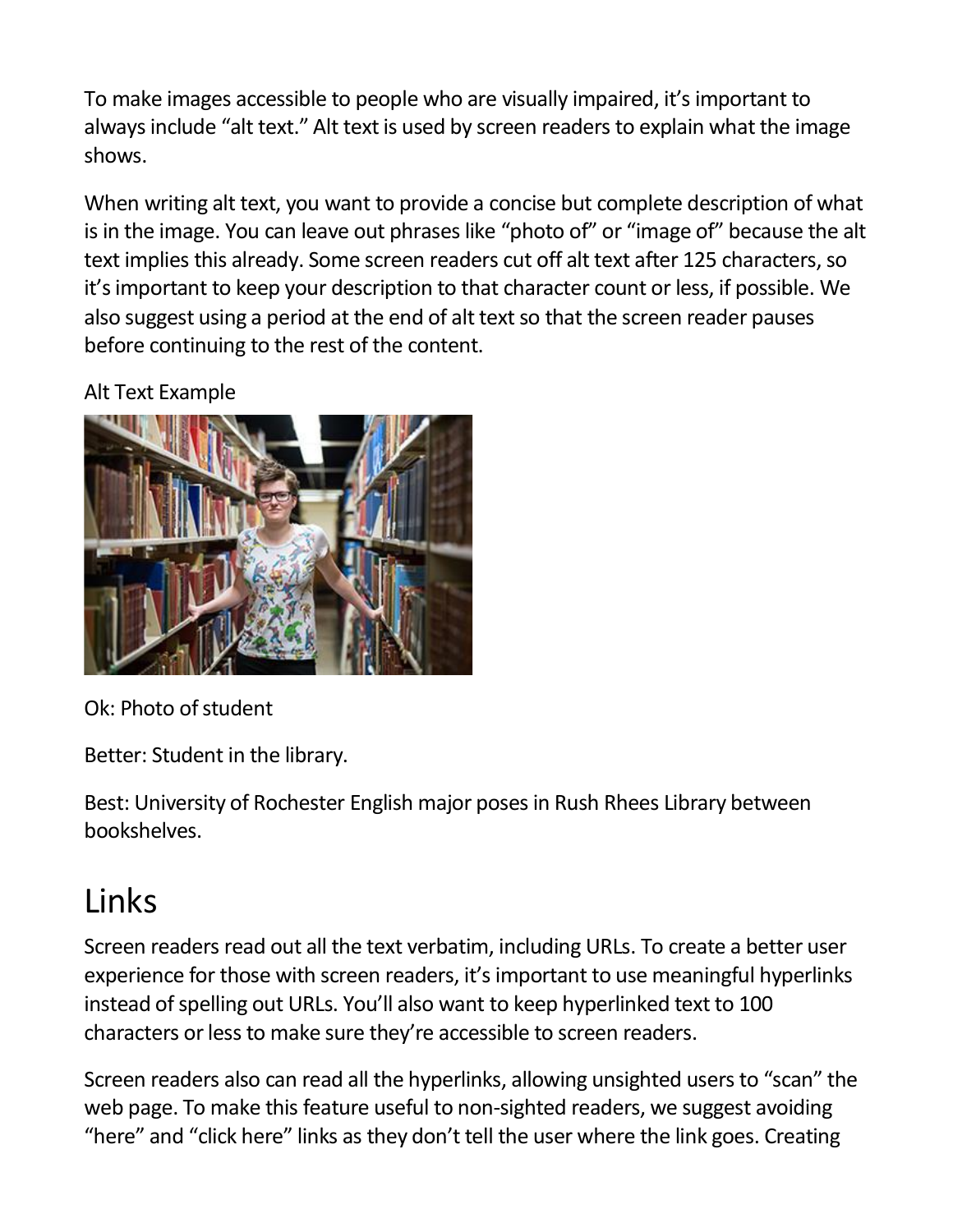To make images accessible to people who are visually impaired, it's important to always include "alt text." Alt text is used by screen readers to explain what the image shows.

When writing alt text, you want to provide a concise but complete description of what is in the image. You can leave out phrases like "photo of" or "image of" because the alt text implies this already. Some screen readers cut off alt text after 125 characters, so it's important to keep your description to that character count or less, if possible. We also suggest using a period at the end of alt text so that the screen reader pauses before continuing to the rest of the content.

Alt Text Example



Ok: Photo of student

Better: Student in the library.

Best: University of Rochester English major poses in Rush Rhees Library between bookshelves.

## Links

Screen readers read out all the text verbatim, including URLs. To create a better user experience for those with screen readers, it's important to use meaningful hyperlinks instead of spelling out URLs. You'll also want to keep hyperlinked text to 100 characters or less to make sure they're accessible to screen readers.

Screen readers also can read all the hyperlinks, allowing unsighted users to "scan" the web page. To make this feature useful to non-sighted readers, we suggest avoiding "here" and "click here" links as they don't tell the user where the link goes. Creating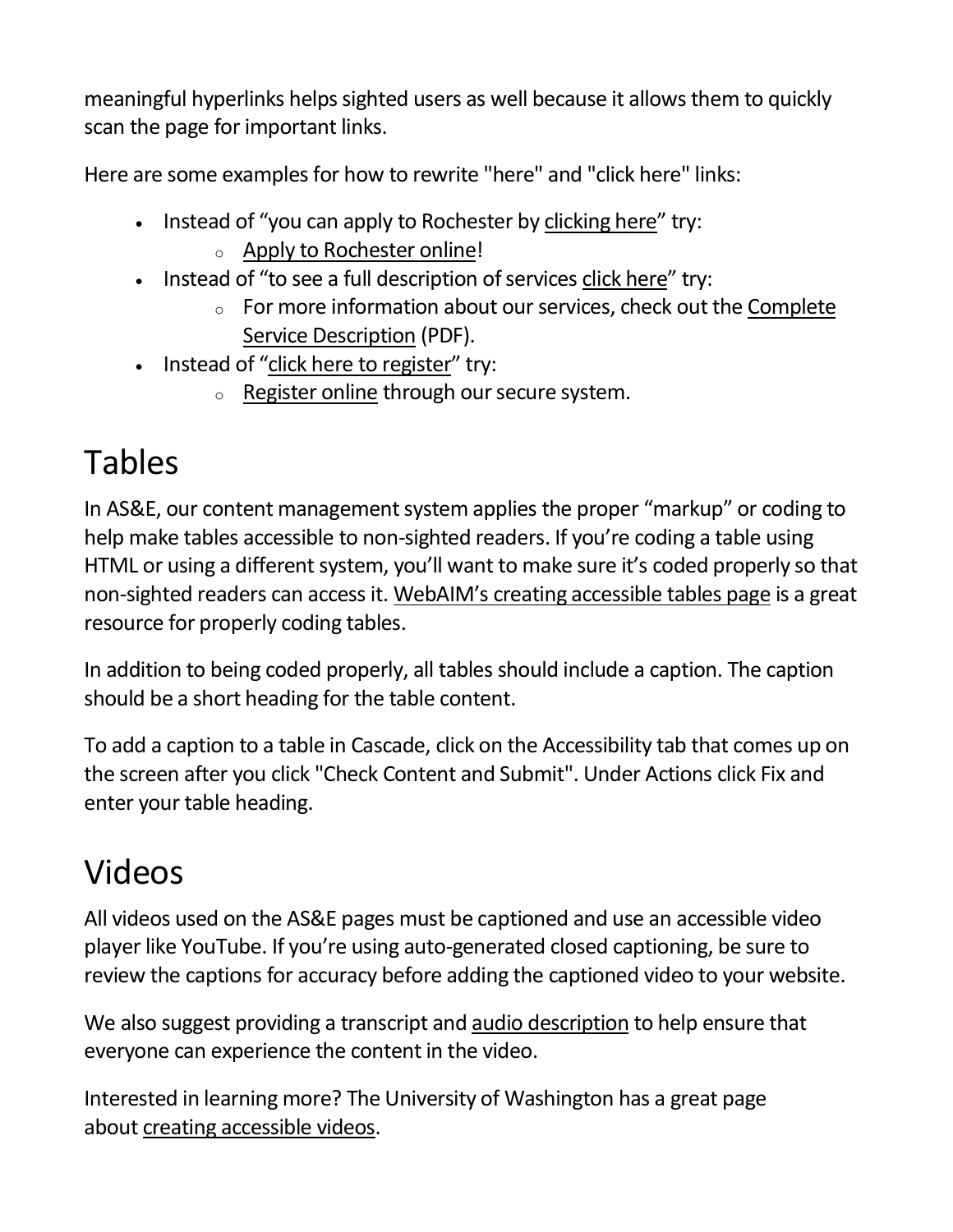meaningful hyperlinks helps sighted users as well because it allows them to quickly scan the page for important links.

Here are some examples for how to rewrite "here" and "click here" links:

- Instead of "you can apply to Rochester by clicking here" try:
	- <sup>o</sup> Apply to Rochester online!
- Instead of "to see a full description of services click here" try:
	- <sup>o</sup> For more information about our services, check out the Complete Service Description (PDF).
- Instead of "click here to register" try:
	- o Register online through our secure system.

## Tables

In AS&E, our content management system applies the proper "markup" or coding to help make tables accessible to non-sighted readers. If you're coding a table using HTML or using a different system, you'll want to make sure it's coded properly so that non-sighted readers can access it. [WebAIM's creating accessible tables page](https://webaim.org/techniques/tables/data) is a great resource for properly coding tables.

In addition to being coded properly, all tables should include a caption. The caption should be a short heading for the table content.

To add a caption to a table in Cascade, click on the Accessibility tab that comes up on the screen after you click "Check Content and Submit". Under Actions click Fix and enter your table heading.

## Videos

All videos used on the AS&E pages must be captioned and use an accessible video player like YouTube. If you're using auto-generated closed captioning, be sure to review the captions for accuracy before adding the captioned video to your website.

We also suggest providing a transcript and [audio description](https://digital.gov/2014/06/30/508-accessible-videos-how-to-make-audio-descriptions/) to help ensure that everyone can experience the content in the video.

Interested in learning more? The University of Washington has a great page about [creating accessible videos.](https://www.washington.edu/accessibility/videos/)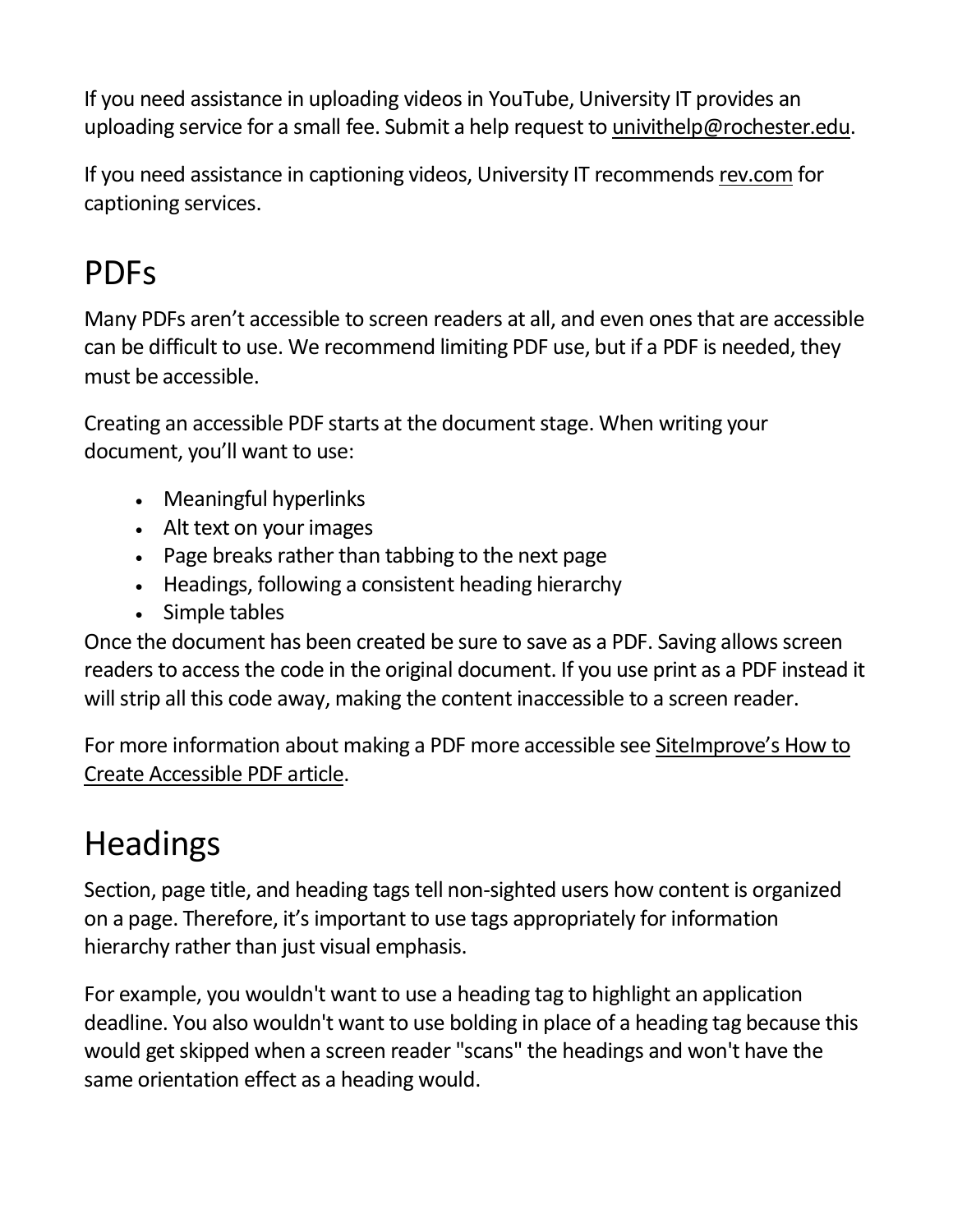If you need assistance in uploading videos in YouTube, University IT provides an uploading service for a small fee. Submit a help request to [univithelp@rochester.edu.](mailto:univithelp@rochester.edu)

If you need assistance in captioning videos, University IT recommends [rev.com](https://rev.com/) for captioning services.

### PDFs

Many PDFs aren't accessible to screen readers at all, and even ones that are accessible can be difficult to use. We recommend limiting PDF use, but if a PDF is needed, they must be accessible.

Creating an accessible PDF starts at the document stage. When writing your document, you'll want to use:

- Meaningful hyperlinks
- Alt text on your images
- Page breaks rather than tabbing to the next page
- Headings, following a consistent heading hierarchy
- Simple tables

Once the document has been created be sure to save as a PDF. Saving allows screen readers to access the code in the original document. If you use print as a PDF instead it will strip all this code away, making the content inaccessible to a screen reader.

For more information about making a PDF more accessible see [SiteImprove's How to](https://siteimprove.com/en-us/blog/how-to-create-accessible-pdfs/)  [Create Accessible PDF article.](https://siteimprove.com/en-us/blog/how-to-create-accessible-pdfs/)

## **Headings**

Section, page title, and heading tags tell non-sighted users how content is organized on a page. Therefore, it's important to use tags appropriately for information hierarchy rather than just visual emphasis.

For example, you wouldn't want to use a heading tag to highlight an application deadline. You also wouldn't want to use bolding in place of a heading tag because this would get skipped when a screen reader "scans" the headings and won't have the same orientation effect as a heading would.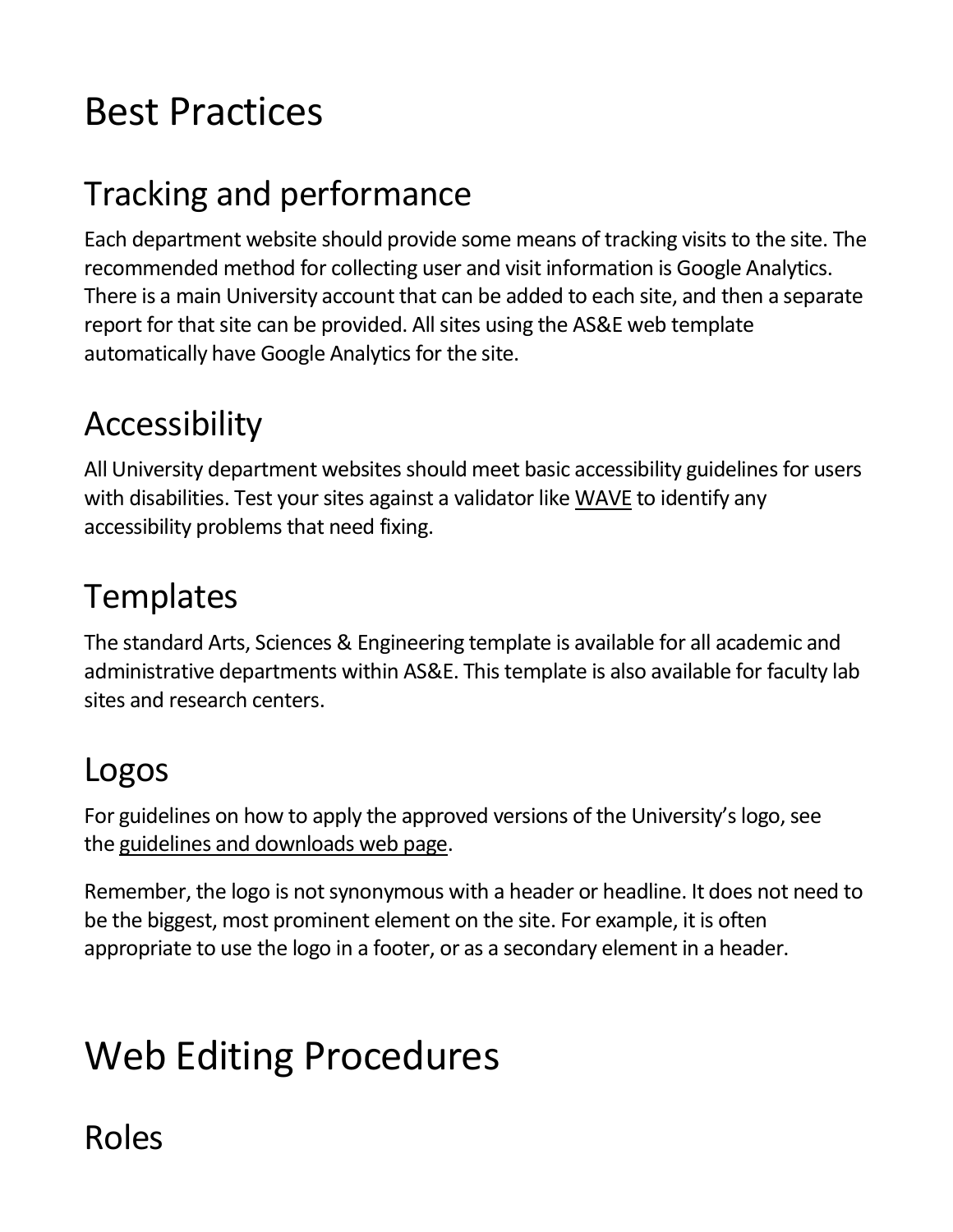# Best Practices

## Tracking and performance

Each department website should provide some means of tracking visits to the site. The recommended method for collecting user and visit information is Google Analytics. There is a main University account that can be added to each site, and then a separate report for that site can be provided. All sites using the AS&E web template automatically have Google Analytics for the site.

### Accessibility

All University department websites should meet basic accessibility guidelines for users with disabilities. Test your sites against a validator like [WAVE](http://wave.webaim.org/) to identify any accessibility problems that need fixing.

### **Templates**

The standard Arts, Sciences & Engineering template is available for all academic and administrative departments within AS&E. This template is also available for faculty lab sites and research centers.

### Logos

For guidelines on how to apply the approved versions of the University's logo, see the [guidelines and downloads web page.](https://www.rochester.edu/creativeservices/logo.html)

Remember, the logo is not synonymous with a header or headline. It does not need to be the biggest, most prominent element on the site. For example, it is often appropriate to use the logo in a footer, or as a secondary element in a header.

# Web Editing Procedures

### Roles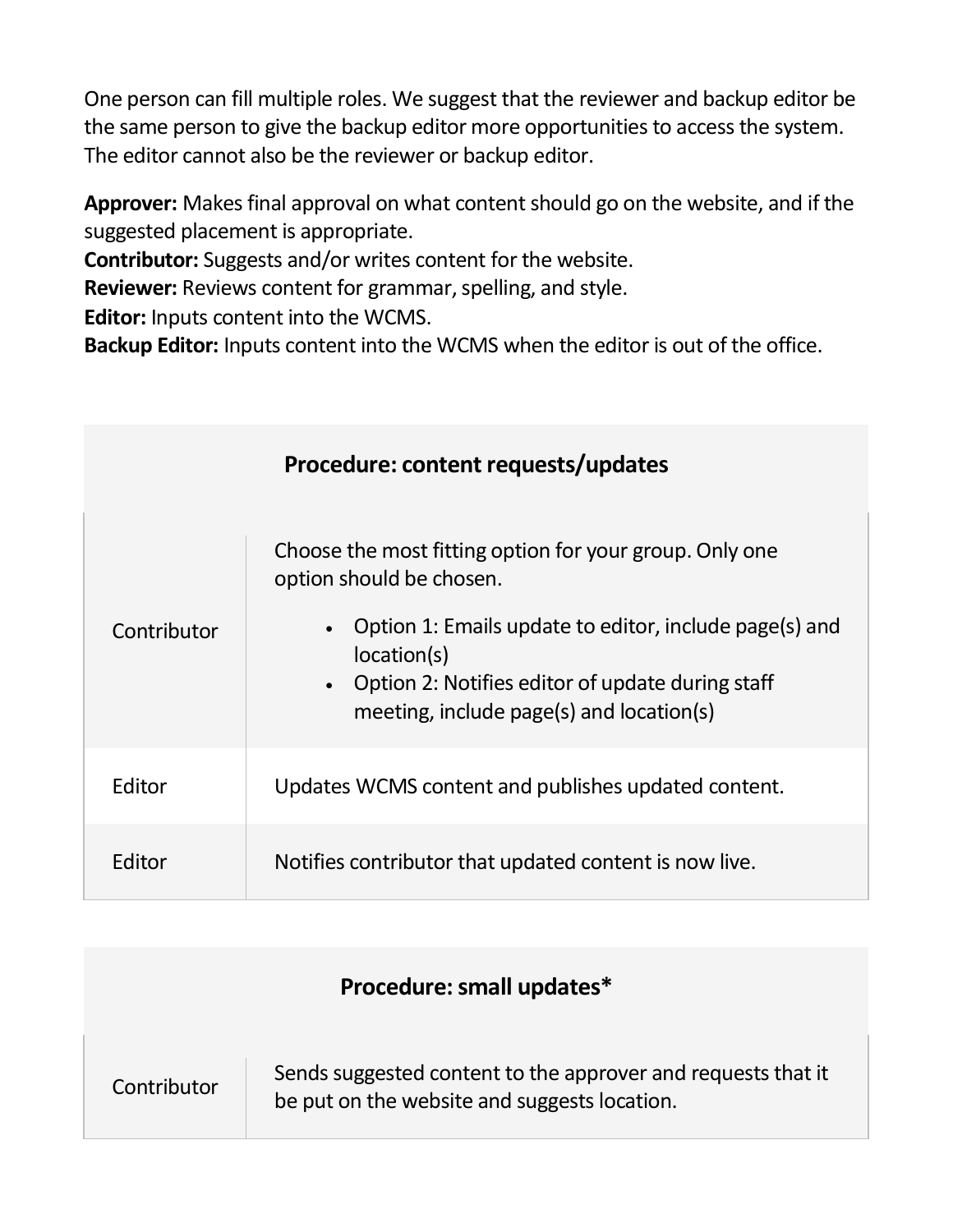One person can fill multiple roles. We suggest that the reviewer and backup editor be the same person to give the backup editor more opportunities to access the system. The editor cannot also be the reviewer or backup editor.

**Approver:** Makes final approval on what content should go on the website, and if the suggested placement is appropriate.

**Contributor:** Suggests and/or writes content for the website.

**Reviewer:** Reviews content for grammar, spelling, and style.

**Editor:** Inputs content into the WCMS.

**Backup Editor:** Inputs content into the WCMS when the editor is out of the office.

| Procedure: content requests/updates |                                                                                                                                                                                                 |  |
|-------------------------------------|-------------------------------------------------------------------------------------------------------------------------------------------------------------------------------------------------|--|
| Contributor                         | Choose the most fitting option for your group. Only one<br>option should be chosen.                                                                                                             |  |
|                                     | Option 1: Emails update to editor, include page(s) and<br>$\bullet$<br>location(s)<br>Option 2: Notifies editor of update during staff<br>$\bullet$<br>meeting, include page(s) and location(s) |  |
| Editor                              | Updates WCMS content and publishes updated content.                                                                                                                                             |  |
| Editor                              | Notifies contributor that updated content is now live.                                                                                                                                          |  |

| Procedure: small updates* |                                                                                                              |  |
|---------------------------|--------------------------------------------------------------------------------------------------------------|--|
| Contributor               | Sends suggested content to the approver and requests that it<br>be put on the website and suggests location. |  |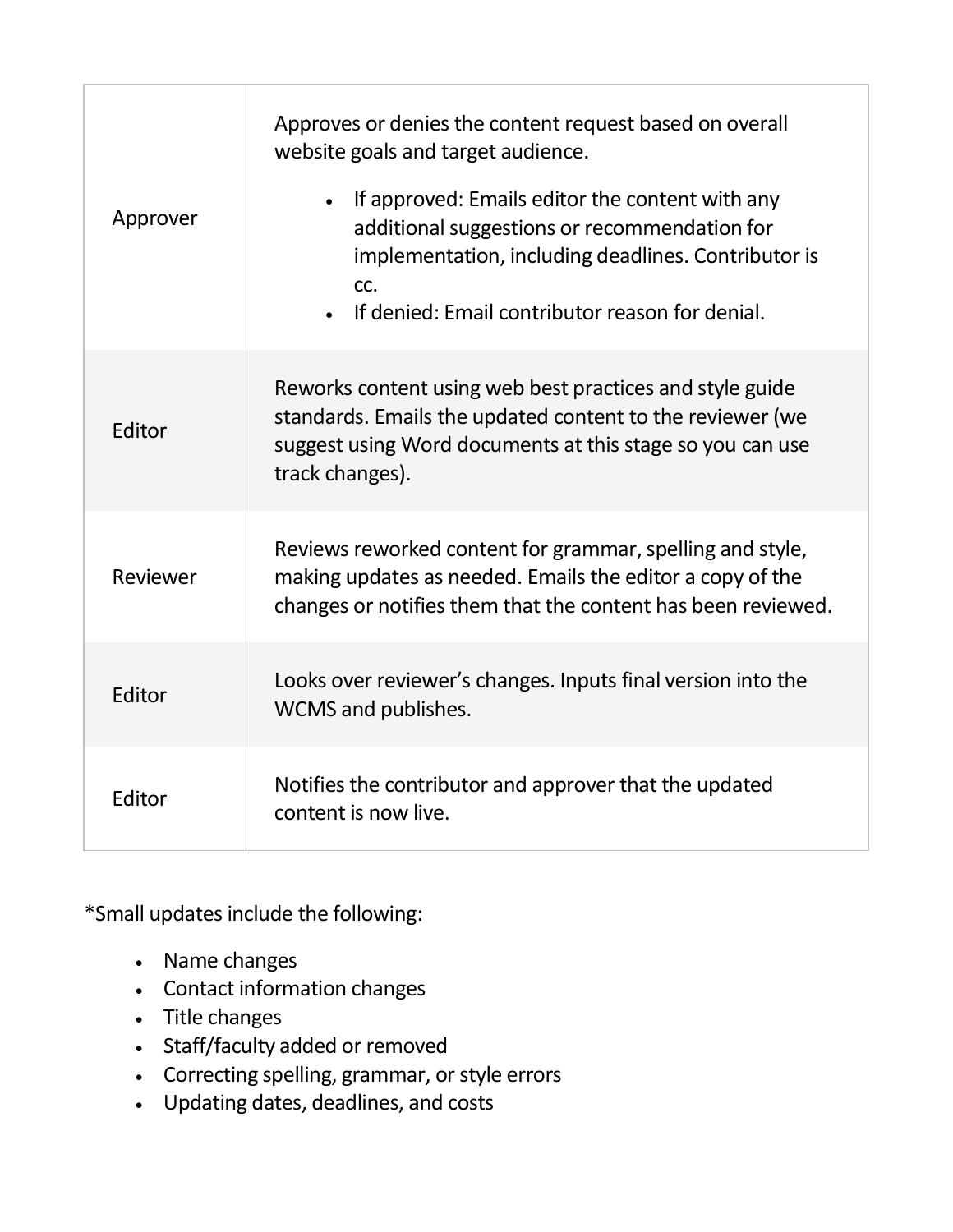| Approver | Approves or denies the content request based on overall<br>website goals and target audience.<br>• If approved: Emails editor the content with any<br>additional suggestions or recommendation for<br>implementation, including deadlines. Contributor is<br>CC.<br>• If denied: Email contributor reason for denial. |
|----------|-----------------------------------------------------------------------------------------------------------------------------------------------------------------------------------------------------------------------------------------------------------------------------------------------------------------------|
| Editor   | Reworks content using web best practices and style guide<br>standards. Emails the updated content to the reviewer (we<br>suggest using Word documents at this stage so you can use<br>track changes).                                                                                                                 |
| Reviewer | Reviews reworked content for grammar, spelling and style,<br>making updates as needed. Emails the editor a copy of the<br>changes or notifies them that the content has been reviewed.                                                                                                                                |
| Editor   | Looks over reviewer's changes. Inputs final version into the<br>WCMS and publishes.                                                                                                                                                                                                                                   |
| Editor   | Notifies the contributor and approver that the updated<br>content is now live.                                                                                                                                                                                                                                        |

\*Small updates include the following:

- Name changes
- Contact information changes
- Title changes
- Staff/faculty added or removed
- Correcting spelling, grammar, or style errors
- Updating dates, deadlines, and costs